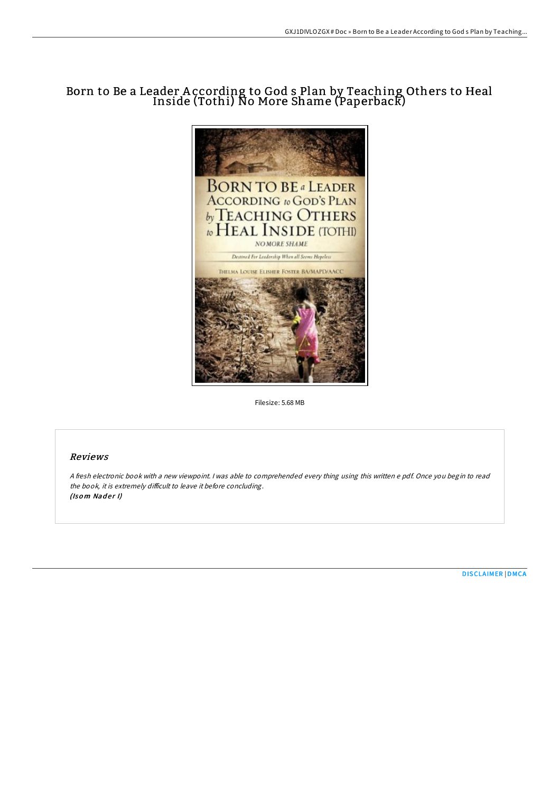## Born to Be a Leader According to God s Plan by Teaching Others to Heal Inside (Tothi) No More Shame (Paperback)



Filesize: 5.68 MB

## Reviews

<sup>A</sup> fresh electronic book with <sup>a</sup> new viewpoint. <sup>I</sup> was able to comprehended every thing using this written <sup>e</sup> pdf. Once you begin to read the book, it is extremely difficult to leave it before concluding. (Isom Nader I)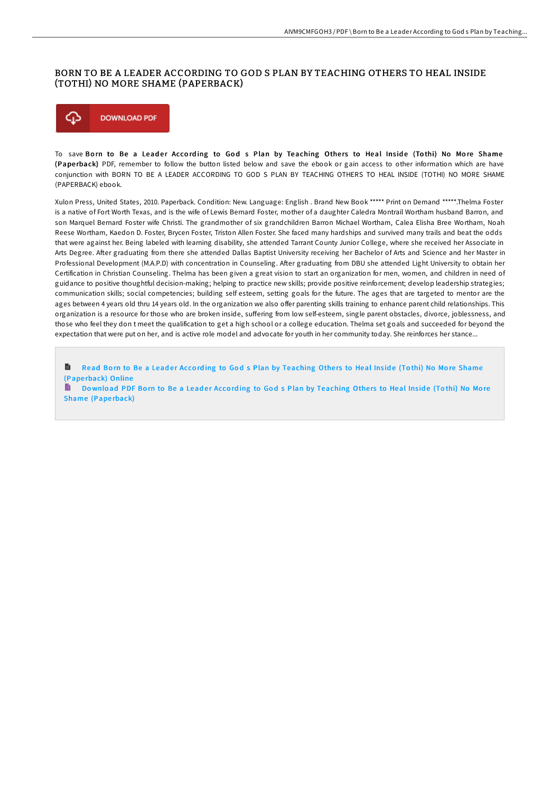## BORN TO BE A LEADER ACCORDING TO GOD S PLAN BY TEACHING OTHERS TO HEAL INSIDE (TOTHI) NO MORE SHAME (PAPERBACK)



To save Born to Be a Leader According to God s Plan by Teaching Others to Heal Inside (Tothi) No More Shame (Pape rback) PDF, remember to follow the button listed below and save the ebook or gain access to other information which are have conjunction with BORN TO BE A LEADER ACCORDING TO GOD S PLAN BY TEACHING OTHERS TO HEAL INSIDE (TOTHI) NO MORE SHAME (PAPERBACK) ebook.

Xulon Press, United States, 2010. Paperback. Condition: New. Language: English . Brand New Book \*\*\*\*\* Print on Demand \*\*\*\*\*.Thelma Foster is a native of Fort Worth Texas, and is the wife of Lewis Bernard Foster, mother of a daughter Caledra Montrail Wortham husband Barron, and son Marquel Bernard Foster wife Christi. The grandmother of six grandchildren Barron Michael Wortham, Calea Elisha Bree Wortham, Noah Reese Wortham, Kaedon D. Foster, Brycen Foster, Triston Allen Foster. She faced many hardships and survived many trails and beat the odds that were against her. Being labeled with learning disability, she attended Tarrant County Junior College, where she received her Associate in Arts Degree. AHer graduating from there she attended Dallas Baptist University receiving her Bachelor of Arts and Science and her Master in Professional Development (M.A.P.D) with concentration in Counseling. After graduating from DBU she attended Light University to obtain her Certification in Christian Counseling. Thelma has been given a great vision to start an organization for men, women, and children in need of guidance to positive thoughtful decision-making; helping to practice new skills; provide positive reinforcement; develop leadership strategies; communication skills; social competencies; building self esteem, setting goals for the future. The ages that are targeted to mentor are the ages between 4 years old thru 14 years old. In the organization we also offer parenting skills training to enhance parent child relationships. This organization is a resource for those who are broken inside, suffering from low self-esteem, single parent obstacles, divorce, joblessness, and those who feel they don t meet the qualification to get a high school or a college education. Thelma set goals and succeeded for beyond the expectation that were put on her, and is active role model and advocate for youth in her community today. She reinforces her stance...

Read Born to Be a Leader According to God s Plan by [Teaching](http://almighty24.tech/born-to-be-a-leader-according-to-god-s-plan-by-t.html) Others to Heal Inside (Tothi) No More Shame B (Pape rback) Online

Download PDF Born to Be a Leader According to God s Plan by [Teaching](http://almighty24.tech/born-to-be-a-leader-according-to-god-s-plan-by-t.html) Others to Heal Inside (Tothi) No More Shame (Paperback)